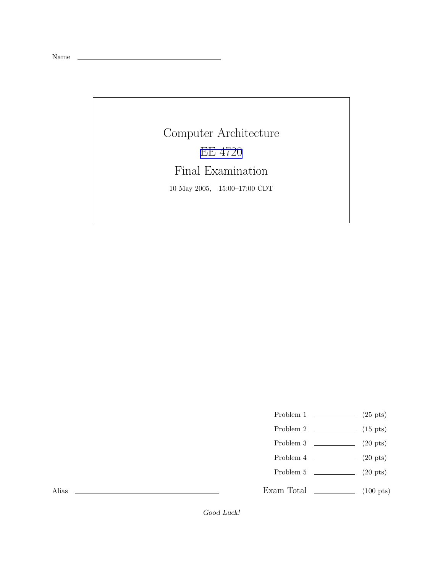Name

Computer Architecture EE [4720](http://www.ece.lsu.edu/ee4720/) Final Examination 10 May 2005, 15:00–17:00 CDT

Problem 1  $\qquad \qquad (25 \text{ pts})$ 

- Problem 2  $\qquad \qquad$  (15 pts)
- Problem 3  $\qquad \qquad (20 \text{ pts})$
- Problem 4  $\qquad \qquad$  (20 pts)
- Problem 5  $\sqrt{20 \text{ pts}}$

Exam Total  $\qquad \qquad$  (100 pts)

Alias

Good Luck!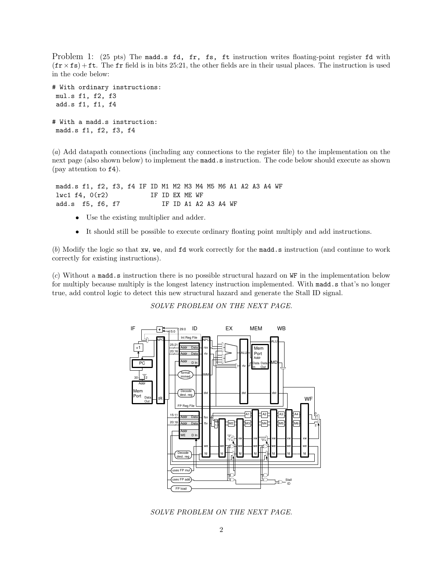Problem 1: (25 pts) The madd.s fd, fr, fs, ft instruction writes floating-point register fd with  $(\mathbf{fr} \times \mathbf{fs}) + \mathbf{ft}$ . The fr field is in bits 25:21, the other fields are in their usual places. The instruction is used in the code below:

```
# With ordinary instructions:
mul.s f1, f2, f3
add.s f1, f1, f4
# With a madd.s instruction:
madd.s f1, f2, f3, f4
```
(a) Add datapath connections (including any connections to the register file) to the implementation on the next page (also shown below) to implement the madd.s instruction. The code below should execute as shown (pay attention to f4).

madd.s f1, f2, f3, f4 IF ID M1 M2 M3 M4 M5 M6 A1 A2 A3 A4 WF lwc1 f4, 0(r2) IF ID EX ME WF add.s f5, f6, f7 IF ID A1 A2 A3 A4 WF

- Use the existing multiplier and adder.
- It should still be possible to execute ordinary floating point multiply and add instructions.

(b) Modify the logic so that xw, we, and fd work correctly for the madd.s instruction (and continue to work correctly for existing instructions).

(c) Without a madd.s instruction there is no possible structural hazard on WF in the implementation below for multiply because multiply is the longest latency instruction implemented. With madd.s that's no longer true, add control logic to detect this new structural hazard and generate the Stall ID signal.

SOLVE PROBLEM ON THE NEXT PAGE.



SOLVE PROBLEM ON THE NEXT PAGE.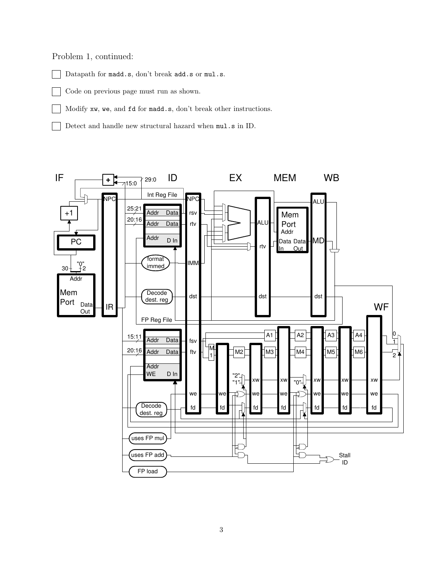Problem 1, continued:

Datapath for madd.s, don't break add.s or mul.s.

Code on previous page must run as shown.

Modify xw, we, and fd for madd.s, don't break other instructions.

Detect and handle new structural hazard when mul.s in ID.

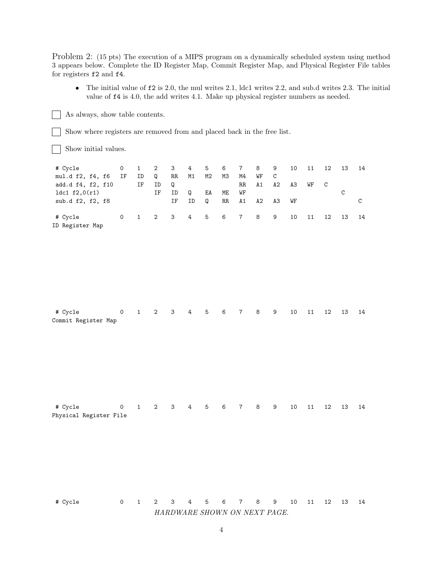Problem 2: (15 pts) The execution of a MIPS program on a dynamically scheduled system using method 3 appears below. Complete the ID Register Map, Commit Register Map, and Physical Register File tables for registers f2 and f4.

• The initial value of  $f2$  is 2.0, the mul writes 2.1, ldc1 writes 2.2, and sub.d writes 2.3. The initial value of f4 is 4.0, the add writes 4.1. Make up physical register numbers as needed.

Show where registers are removed from and placed back in the free list.

Show initial values.

As always, show table contents.

| # Cycle           | 0  | $\mathbf{1}$ | 2 3 4 5 6 7 8     |    |    |    |    |       |    | 9            | 10 | 11 | 12           | -13 | - 14 |
|-------------------|----|--------------|-------------------|----|----|----|----|-------|----|--------------|----|----|--------------|-----|------|
| mul.d f2, f4, f6  | IF | ID           | <b>Q</b>          | RR | M1 | M2 | МЗ | M4    | WF | $\mathbf{C}$ |    |    |              |     |      |
| add.d f4, f2, f10 |    | IF           | ID                | Q  |    |    |    | RR    | A1 | A2           | АЗ | WF | $\mathbf{C}$ |     |      |
| 1dc1 f2,0(r1)     |    |              | ΙF                | ID | O  | EA | ME | WF    |    |              |    |    |              |     |      |
| sub.d f2, f2, f8  |    |              |                   | IF | ID | Q  |    | RR A1 | A2 | АЗ           | WF |    |              |     |      |
| # Cycle           | 0  |              | 1 2 3 4 5 6 7 8 9 |    |    |    |    |       |    |              | 10 | 11 | 12           | 13  | - 14 |
| ID Register Map   |    |              |                   |    |    |    |    |       |    |              |    |    |              |     |      |

| # Cycle             |  |  |  |  |  | 0 1 2 3 4 5 6 7 8 9 10 11 12 13 14 |  |  |
|---------------------|--|--|--|--|--|------------------------------------|--|--|
| Commit Register Map |  |  |  |  |  |                                    |  |  |

# Cycle 0 1 2 3 4 5 6 7 8 9 10 11 12 13 14 Physical Register File

# Cycle 0 1 2 3 4 5 6 7 8 9 10 11 12 13 14 HARDWARE SHOWN ON NEXT PAGE.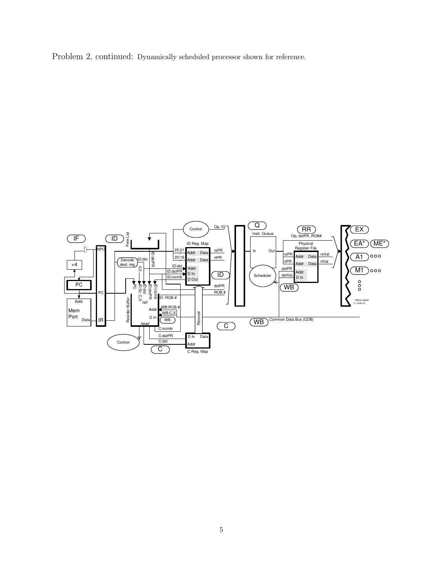Problem 2, continued: Dynamically scheduled processor shown for reference.

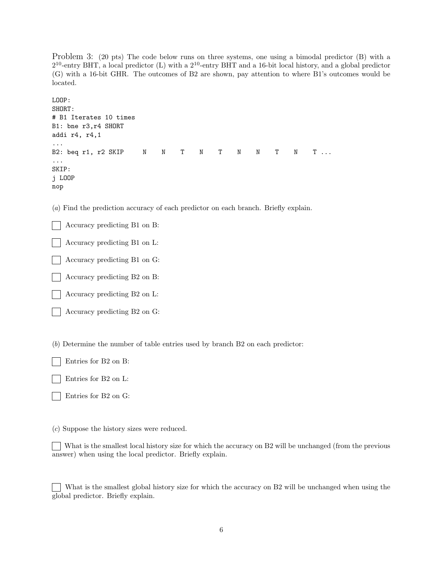Problem 3: (20 pts) The code below runs on three systems, one using a bimodal predictor (B) with a 2 <sup>10</sup>-entry BHT, a local predictor (L) with a 2 <sup>10</sup>-entry BHT and a 16-bit local history, and a global predictor (G) with a 16-bit GHR. The outcomes of B2 are shown, pay attention to where B1's outcomes would be located.

```
LOOP:
SHORT:
# B1 Iterates 10 times
B1: bne r3,r4 SHORT
addi r4, r4,1
...
B2: beq r1, r2 SKIP N N T N T N N T N T ...
...
SKIP:
j LOOP
nop
```
(a) Find the prediction accuracy of each predictor on each branch. Briefly explain.

Accuracy predicting B1 on B:

Accuracy predicting B1 on L:

Accuracy predicting B1 on G:

Accuracy predicting B2 on B:

Accuracy predicting B2 on L:

Accuracy predicting B2 on G:

(b) Determine the number of table entries used by branch B2 on each predictor:

Entries for B2 on B:

Entries for B2 on L:

Entries for B2 on G:

(c) Suppose the history sizes were reduced.

What is the smallest local history size for which the accuracy on B2 will be unchanged (from the previous answer) when using the local predictor. Briefly explain.

What is the smallest global history size for which the accuracy on B2 will be unchanged when using the global predictor. Briefly explain.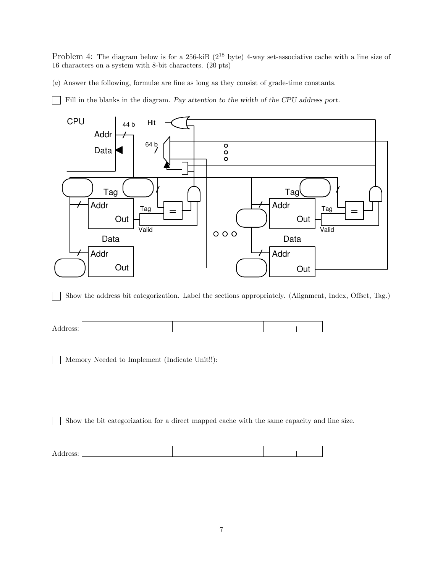Problem 4: The diagram below is for a 256-kiB ( $2^{18}$  byte) 4-way set-associative cache with a line size of 16 characters on a system with 8-bit characters. (20 pts)

(a) Answer the following, formulæ are fine as long as they consist of grade-time constants.

Fill in the blanks in the diagram. Pay attention to the width of the CPU address port.



Show the address bit categorization. Label the sections appropriately. (Alignment, Index, Offset, Tag.)

| Address: |  |  |
|----------|--|--|

Memory Needed to Implement (Indicate Unit!!):

Show the bit categorization for a direct mapped cache with the same capacity and line size.  $\overline{\phantom{0}}$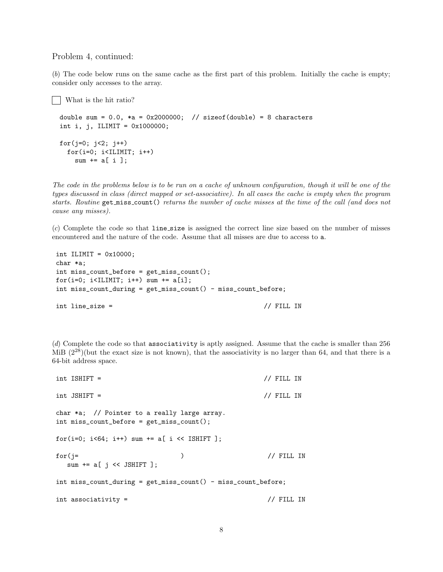## Problem 4, continued:

(b) The code below runs on the same cache as the first part of this problem. Initially the cache is empty; consider only accesses to the array.

```
What is the hit ratio?
double sum = 0.0, *a = 0x2000000; // sizeof(double) = 8 characters
int i, j, ILIMIT = 0x1000000;
for(j=0; j<2; j++)for(i=0; i<ILIMIT; i++)
    sum += a[i];
```
The code in the problems below is to be run on a cache of unknown configuration, though it will be one of the types discussed in class (direct mapped or set-associative). In all cases the cache is empty when the program starts. Routine get miss count() returns the number of cache misses at the time of the call (and does not cause any misses).

 $(c)$  Complete the code so that line size is assigned the correct line size based on the number of misses encountered and the nature of the code. Assume that all misses are due to access to a.

```
int ILIMIT = 0x10000;
char *a;
int miss_count_before = get_miss_count();
for(i=0; i<ILIMIT; i++) sum += a[i];
int miss_count_during = get_miss_count() - miss_count_before;
int line_size = // FILL IN
```
(d) Complete the code so that associativity is aptly assigned. Assume that the cache is smaller than 256 MiB  $(2^{28})$ (but the exact size is not known), that the associativity is no larger than 64, and that there is a 64-bit address space.

```
int ISHIFT = // FILL IN
int JSHIFT = // FILL IN
char *a; // Pointer to a really large array.
int miss_count_before = get_miss_count();
for(i=0; i<64; i++) sum += a[ i << ISHIFT ];
for (j= ) // FILL INsum += a[j \leq SHIFT];
int miss_count_during = get_miss_count() - miss_count_before;
int associativity = \frac{1}{2} // FILL IN
```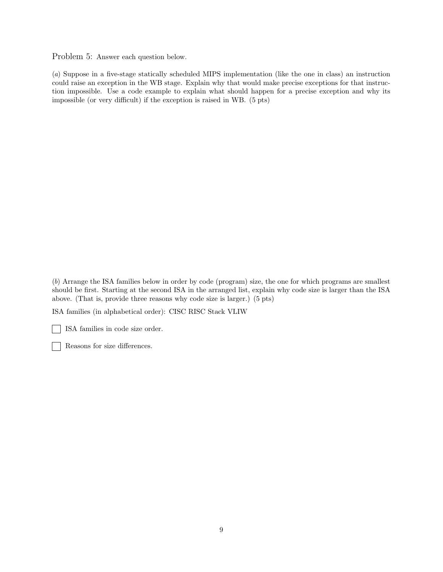Problem 5: Answer each question below.

(a) Suppose in a five-stage statically scheduled MIPS implementation (like the one in class) an instruction could raise an exception in the WB stage. Explain why that would make precise exceptions for that instruction impossible. Use a code example to explain what should happen for a precise exception and why its impossible (or very difficult) if the exception is raised in WB. (5 pts)

(b) Arrange the ISA families below in order by code (program) size, the one for which programs are smallest should be first. Starting at the second ISA in the arranged list, explain why code size is larger than the ISA above. (That is, provide three reasons why code size is larger.) (5 pts)

ISA families (in alphabetical order): CISC RISC Stack VLIW

ISA families in code size order.

Reasons for size differences.